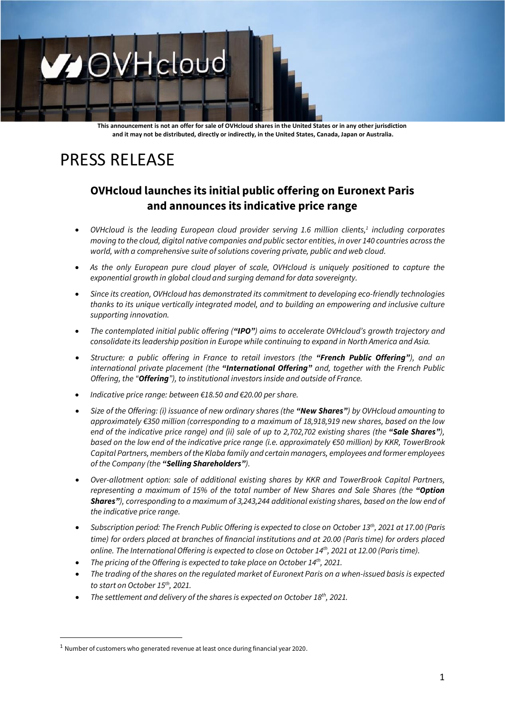# OVHcloud

**This announcement is not an offer for sale of OVHcloud shares in the United States or in any other jurisdiction and it may not be distributed, directly or indirectly, in the United States, Canada, Japan or Australia.**

## PRESS RELEASE

### **OVHcloud launches its initial public offering on Euronext Paris and announces its indicative price range**

- *OVHcloud is the leading European cloud provider serving 1.6 million clients, 1 including corporates moving to the cloud, digital native companies and public sector entities, in over 140 countries across the world, with a comprehensive suite of solutions covering private, public and web cloud.*
- *As the only European pure cloud player of scale, OVHcloud is uniquely positioned to capture the exponential growth in global cloud and surging demand for data sovereignty.*
- *Since its creation, OVHcloud has demonstrated its commitment to developing eco-friendly technologies thanks to its unique vertically integrated model, and to building an empowering and inclusive culture supporting innovation.*
- *The contemplated initial public offering ("IPO") aims to accelerate OVHcloud's growth trajectory and consolidate its leadership position in Europe while continuing to expand in North America and Asia.*
- *Structure: a public offering in France to retail investors (the "French Public Offering"), and an international private placement (the "International Offering" and, together with the French Public Offering, the "Offering"), to institutional investors inside and outside of France.*
- *Indicative price range: between €18.50 and €20.00 per share.*
- *Size of the Offering: (i) issuance of new ordinary shares (the "New Shares") by OVHcloud amounting to approximately €350 million (corresponding to a maximum of 18,918,919 new shares, based on the low end of the indicative price range) and (ii) sale of up to 2,702,702 existing shares (the "Sale Shares"), based on the low end of the indicative price range (i.e. approximately €50 million) by KKR, TowerBrook Capital Partners, members of the Klaba family and certain managers, employees and former employees of the Company (the "Selling Shareholders").*
- *Over-allotment option: sale of additional existing shares by KKR and TowerBrook Capital Partners, representing a maximum of 15% of the total number of New Shares and Sale Shares (the "Option Shares"), corresponding to a maximum of 3,243,244 additional existing shares, based on the low end of the indicative price range.*
- Subscription period: The French Public Offering is expected to close on October 13<sup>th</sup>, 2021 at 17.00 (Paris *time) for orders placed at branches of financial institutions and at 20.00 (Paris time) for orders placed online. The International Offering is expected to close on October 14 th , 2021 at 12.00 (Paris time).*
- The pricing of the Offering is expected to take place on October 14<sup>th</sup>, 2021.
- *The trading of the shares on the regulated market of Euronext Paris on a when-issued basis is expected to start on October 15 th , 2021.*
- The settlement and delivery of the shares is expected on October 18<sup>th</sup>, 2021.

<sup>1</sup> Number of customers who generated revenue at least once during financial year 2020.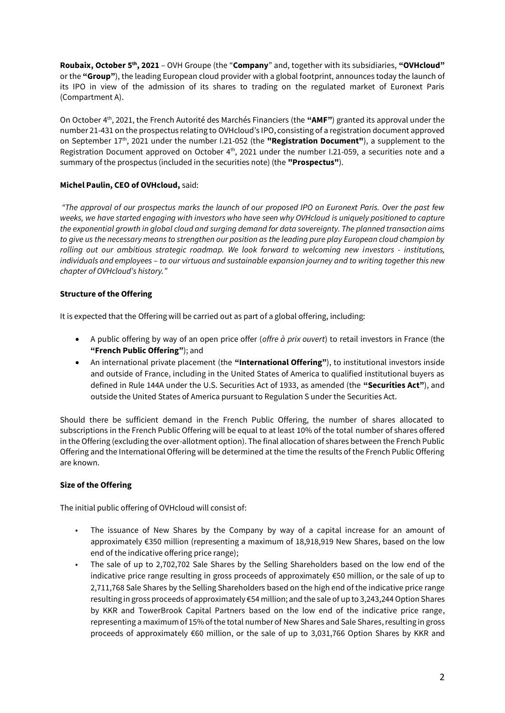**Roubaix, October 5 th , 2021** – OVH Groupe (the "**Company**" and, together with its subsidiaries, **"OVHcloud"** or the **"Group"**), the leading European cloud provider with a global footprint, announces today the launch of its IPO in view of the admission of its shares to trading on the regulated market of Euronext Paris (Compartment A).

On October 4 th, 2021, the French Autorité des Marchés Financiers (the **"AMF"**) granted its approval under the number 21-431 on the prospectus relating to OVHcloud's IPO, consisting of a registration document approved on September 17<sup>th</sup>, 2021 under the number I.21-052 (the "Registration Document"), a supplement to the Registration Document approved on October  $4<sup>th</sup>$ , 2021 under the number I.21-059, a securities note and a summary of the prospectus (included in the securities note) (the **"Prospectus"**).

#### **Michel Paulin, CEO of OVHcloud,** said:

*"The approval of our prospectus marks the launch of our proposed IPO on Euronext Paris. Over the past few weeks, we have started engaging with investors who have seen why OVHcloud is uniquely positioned to capture the exponential growth in global cloud and surging demand for data sovereignty. The planned transaction aims to give us the necessary means to strengthen our position as the leading pure play European cloud champion by rolling out our ambitious strategic roadmap. We look forward to welcoming new investors - institutions, individuals and employees – to our virtuous and sustainable expansion journey and to writing together this new chapter of OVHcloud's history."*

#### **Structure of the Offering**

It is expected that the Offering will be carried out as part of a global offering, including:

- A public offering by way of an open price offer (*offre à prix ouvert*) to retail investors in France (the **"French Public Offering"**); and
- An international private placement (the **"International Offering"**), to institutional investors inside and outside of France, including in the United States of America to qualified institutional buyers as defined in Rule 144A under the U.S. Securities Act of 1933, as amended (the **"Securities Act"**), and outside the United States of America pursuant to Regulation S under the Securities Act.

Should there be sufficient demand in the French Public Offering, the number of shares allocated to subscriptions in the French Public Offering will be equal to at least 10% of the total number of shares offered in the Offering (excluding the over-allotment option). The final allocation of shares between the French Public Offering and the International Offering will be determined at the time the results of the French Public Offering are known.

#### **Size of the Offering**

The initial public offering of OVHcloud will consist of:

- The issuance of New Shares by the Company by way of a capital increase for an amount of approximately €350 million (representing a maximum of 18,918,919 New Shares, based on the low end of the indicative offering price range);
- The sale of up to 2,702,702 Sale Shares by the Selling Shareholders based on the low end of the indicative price range resulting in gross proceeds of approximately €50 million, or the sale of up to 2,711,768 Sale Shares by the Selling Shareholders based on the high end of the indicative price range resulting in gross proceeds of approximately €54 million; and the sale of up to 3,243,244 Option Shares by KKR and TowerBrook Capital Partners based on the low end of the indicative price range, representing a maximum of 15% of the total number of New Shares and Sale Shares, resulting in gross proceeds of approximately €60 million, or the sale of up to 3,031,766 Option Shares by KKR and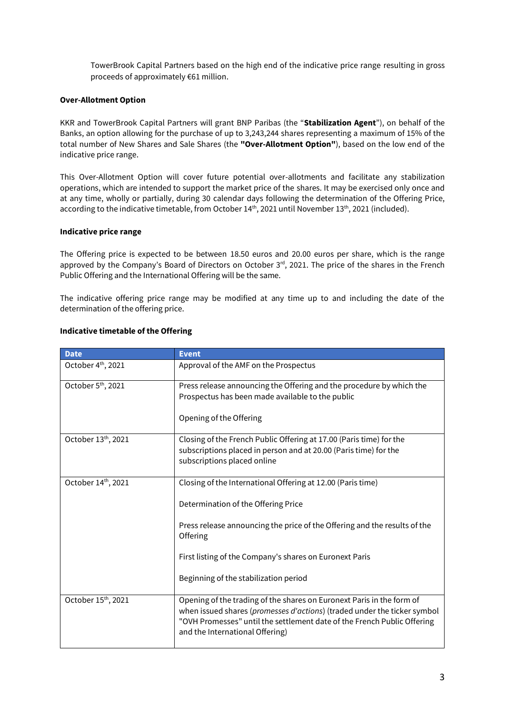TowerBrook Capital Partners based on the high end of the indicative price range resulting in gross proceeds of approximately €61 million.

#### **Over-Allotment Option**

KKR and TowerBrook Capital Partners will grant BNP Paribas (the "**Stabilization Agent**"), on behalf of the Banks, an option allowing for the purchase of up to 3,243,244 shares representing a maximum of 15% of the total number of New Shares and Sale Shares (the **"Over-Allotment Option"**), based on the low end of the indicative price range.

This Over-Allotment Option will cover future potential over-allotments and facilitate any stabilization operations, which are intended to support the market price of the shares. It may be exercised only once and at any time, wholly or partially, during 30 calendar days following the determination of the Offering Price, according to the indicative timetable, from October  $14<sup>th</sup>$ , 2021 until November  $13<sup>th</sup>$ , 2021 (included).

#### **Indicative price range**

The Offering price is expected to be between 18.50 euros and 20.00 euros per share, which is the range approved by the Company's Board of Directors on October 3<sup>rd</sup>, 2021. The price of the shares in the French Public Offering and the International Offering will be the same.

The indicative offering price range may be modified at any time up to and including the date of the determination of the offering price.

| <b>Date</b>                     | <b>Event</b>                                                                                                                                                                                                                                                                                    |
|---------------------------------|-------------------------------------------------------------------------------------------------------------------------------------------------------------------------------------------------------------------------------------------------------------------------------------------------|
| October 4 <sup>th</sup> , 2021  | Approval of the AMF on the Prospectus                                                                                                                                                                                                                                                           |
| October 5 <sup>th</sup> , 2021  | Press release announcing the Offering and the procedure by which the<br>Prospectus has been made available to the public<br>Opening of the Offering                                                                                                                                             |
| October 13th, 2021              | Closing of the French Public Offering at 17.00 (Paris time) for the<br>subscriptions placed in person and at 20.00 (Paris time) for the<br>subscriptions placed online                                                                                                                          |
| October 14th, 2021              | Closing of the International Offering at 12.00 (Paris time)<br>Determination of the Offering Price<br>Press release announcing the price of the Offering and the results of the<br>Offering<br>First listing of the Company's shares on Euronext Paris<br>Beginning of the stabilization period |
| October 15 <sup>th</sup> , 2021 | Opening of the trading of the shares on Euronext Paris in the form of<br>when issued shares (promesses d'actions) (traded under the ticker symbol<br>"OVH Promesses" until the settlement date of the French Public Offering<br>and the International Offering)                                 |

#### **Indicative timetable of the Offering**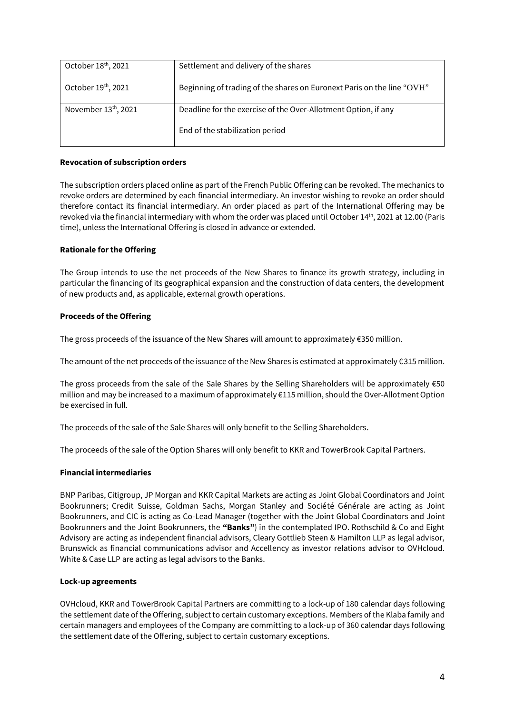| October 18th, 2021               | Settlement and delivery of the shares                                  |
|----------------------------------|------------------------------------------------------------------------|
| October 19th, 2021               | Beginning of trading of the shares on Euronext Paris on the line "OVH" |
| November 13 <sup>th</sup> , 2021 | Deadline for the exercise of the Over-Allotment Option, if any         |
|                                  | End of the stabilization period                                        |

#### **Revocation of subscription orders**

The subscription orders placed online as part of the French Public Offering can be revoked. The mechanics to revoke orders are determined by each financial intermediary. An investor wishing to revoke an order should therefore contact its financial intermediary. An order placed as part of the International Offering may be revoked via the financial intermediary with whom the order was placed until October 14<sup>th</sup>, 2021 at 12.00 (Paris time), unless the International Offering is closed in advance or extended.

#### **Rationale for the Offering**

The Group intends to use the net proceeds of the New Shares to finance its growth strategy, including in particular the financing of its geographical expansion and the construction of data centers, the development of new products and, as applicable, external growth operations.

#### **Proceeds of the Offering**

The gross proceeds of the issuance of the New Shares will amount to approximately €350 million.

The amount of the net proceeds of the issuance of the New Shares is estimated at approximately €315 million.

The gross proceeds from the sale of the Sale Shares by the Selling Shareholders will be approximately  $€50$ million and may be increased to a maximum of approximately €115 million, should the Over-Allotment Option be exercised in full.

The proceeds of the sale of the Sale Shares will only benefit to the Selling Shareholders.

The proceeds of the sale of the Option Shares will only benefit to KKR and TowerBrook Capital Partners.

#### **Financial intermediaries**

BNP Paribas, Citigroup, JP Morgan and KKR Capital Markets are acting as Joint Global Coordinators and Joint Bookrunners; Credit Suisse, Goldman Sachs, Morgan Stanley and Société Générale are acting as Joint Bookrunners, and CIC is acting as Co-Lead Manager (together with the Joint Global Coordinators and Joint Bookrunners and the Joint Bookrunners, the **"Banks"**) in the contemplated IPO. Rothschild & Co and Eight Advisory are acting as independent financial advisors, Cleary Gottlieb Steen & Hamilton LLP as legal advisor, Brunswick as financial communications advisor and Accellency as investor relations advisor to OVHcloud. White & Case LLP are acting as legal advisors to the Banks.

#### **Lock-up agreements**

OVHcloud, KKR and TowerBrook Capital Partners are committing to a lock-up of 180 calendar days following the settlement date of the Offering, subject to certain customary exceptions. Members of the Klaba family and certain managers and employees of the Company are committing to a lock-up of 360 calendar days following the settlement date of the Offering, subject to certain customary exceptions.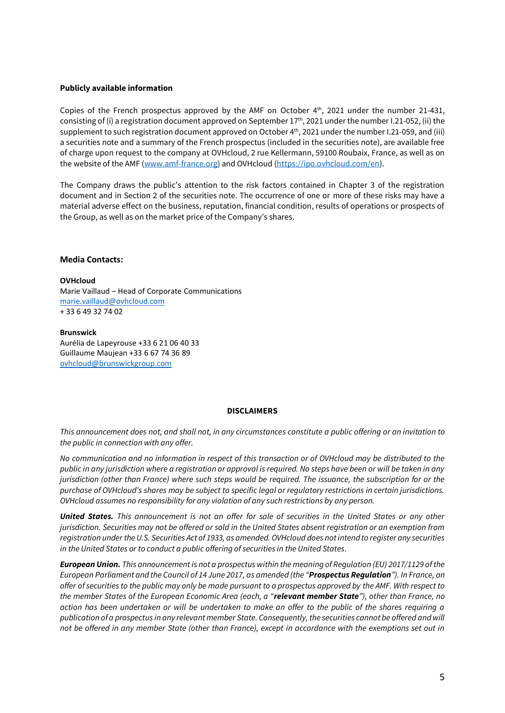#### **Publicly available information**

Copies of the French prospectus approved by the AMF on October 4<sup>th</sup>, 2021 under the number 21-431, consisting of (i) a registration document approved on September 17th, 2021 under the number I.21-052, (ii) the supplement to such registration document approved on October 4 th , 2021 under the number I.21-059, and (iii) a securities note and a summary of the French prospectus (included in the securities note), are available free of charge upon request to the company at OVHcloud, 2 rue Kellermann, 59100 Roubaix, France, as well as on the website of the AMF [\(www.amf-france.org\)](http://www.amf-france.org/) and OVHcloud [\(https://ipo.ovhcloud.com/en\)](https://ipo.ovhcloud.com/en).

The Company draws the public's attention to the risk factors contained in Chapter 3 of the registration document and in Section 2 of the securities note. The occurrence of one or more of these risks may have a material adverse effect on the business, reputation, financial condition, results of operations or prospects of the Group, as well as on the market price of the Company's shares.

#### **Media Contacts:**

**OVHcloud** Marie Vaillaud – Head of Corporate Communications [marie.vaillaud@ovhcloud.com](mailto:marie.vaillaud@ovhcloud.com)  + 33 6 49 32 74 02

**Brunswick** Aurélia de Lapeyrouse +33 6 21 06 40 33 Guillaume Maujean +33 6 67 74 36 89 [ovhcloud@brunswickgroup.com](mailto:ovhcloud@brunswickgroup.com)

#### **DISCLAIMERS**

*This announcement does not, and shall not, in any circumstances constitute a public offering or an invitation to the public in connection with any offer.*

*No communication and no information in respect of this transaction or of OVHcloud may be distributed to the public in any jurisdiction where a registration or approval is required. No steps have been or will be taken in any jurisdiction (other than France) where such steps would be required. The issuance, the subscription for or the purchase of OVHcloud's shares may be subject to specific legal or regulatory restrictions in certain jurisdictions. OVHcloud assumes no responsibility for any violation of any such restrictions by any person.*

*United States. This announcement is not an offer for sale of securities in the United States or any other jurisdiction. Securities may not be offered or sold in the United States absent registration or an exemption from registration under the U.S. Securities Act of 1933, as amended. OVHcloud does not intend to register any securities in the United States or to conduct a public offering of securities in the United States.*

*European Union. This announcement is not a prospectus within the meaning of Regulation (EU) 2017/1129 of the European Parliament and the Council of 14 June 2017, as amended (the "Prospectus Regulation"). In France, an offer of securities to the public may only be made pursuant to a prospectus approved by the AMF. With respect to the member States of the European Economic Area (each, a "relevant member State"), other than France, no action has been undertaken or will be undertaken to make an offer to the public of the shares requiring a publication of a prospectus in any relevant member State. Consequently, the securities cannot be offered and will not be offered in any member State (other than France), except in accordance with the exemptions set out in*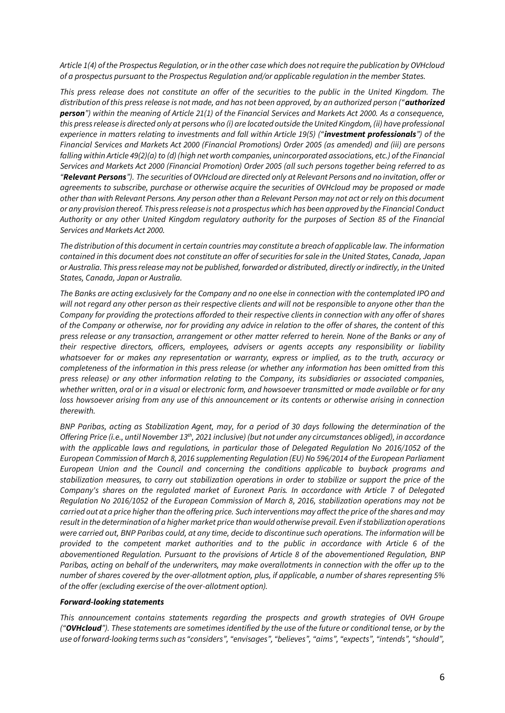*Article 1(4) of the Prospectus Regulation, or in the other case which does not require the publication by OVHcloud of a prospectus pursuant to the Prospectus Regulation and/or applicable regulation in the member States.*

*This press release does not constitute an offer of the securities to the public in the United Kingdom. The distribution of this press release is not made, and has not been approved, by an authorized person ("authorized person") within the meaning of Article 21(1) of the Financial Services and Markets Act 2000. As a consequence, this press release is directed only at persons who (i) are located outside the United Kingdom, (ii) have professional experience in matters relating to investments and fall within Article 19(5) ("investment professionals") of the Financial Services and Markets Act 2000 (Financial Promotions) Order 2005 (as amended) and (iii) are persons falling within Article 49(2)(a) to (d) (high net worth companies, unincorporated associations, etc.) of the Financial Services and Markets Act 2000 (Financial Promotion) Order 2005 (all such persons together being referred to as "Relevant Persons"). The securities of OVHcloud are directed only at Relevant Persons and no invitation, offer or agreements to subscribe, purchase or otherwise acquire the securities of OVHcloud may be proposed or made other than with Relevant Persons. Any person other than a Relevant Person may not act or rely on this document or any provision thereof. This press release is not a prospectus which has been approved by the Financial Conduct Authority or any other United Kingdom regulatory authority for the purposes of Section 85 of the Financial Services and Markets Act 2000.*

*The distribution of this document in certain countries may constitute a breach of applicable law. The information contained in this document does not constitute an offer of securities for sale in the United States, Canada, Japan or Australia. This press release may not be published, forwarded or distributed, directly or indirectly, in the United States, Canada, Japan or Australia.*

*The Banks are acting exclusively for the Company and no one else in connection with the contemplated IPO and will not regard any other person as their respective clients and will not be responsible to anyone other than the Company for providing the protections afforded to their respective clients in connection with any offer of shares of the Company or otherwise, nor for providing any advice in relation to the offer of shares, the content of this press release or any transaction, arrangement or other matter referred to herein. None of the Banks or any of their respective directors, officers, employees, advisers or agents accepts any responsibility or liability whatsoever for or makes any representation or warranty, express or implied, as to the truth, accuracy or completeness of the information in this press release (or whether any information has been omitted from this press release) or any other information relating to the Company, its subsidiaries or associated companies, whether written, oral or in a visual or electronic form, and howsoever transmitted or made available or for any loss howsoever arising from any use of this announcement or its contents or otherwise arising in connection therewith.*

*BNP Paribas, acting as Stabilization Agent, may, for a period of 30 days following the determination of the Offering Price (i.e., until November 13 th , 2021 inclusive) (but not under any circumstances obliged), in accordance with the applicable laws and regulations, in particular those of Delegated Regulation No 2016/1052 of the European Commission of March 8, 2016 supplementing Regulation (EU) No 596/2014 of the European Parliament European Union and the Council and concerning the conditions applicable to buyback programs and stabilization measures, to carry out stabilization operations in order to stabilize or support the price of the Company's shares on the regulated market of Euronext Paris. In accordance with Article 7 of Delegated Regulation No 2016/1052 of the European Commission of March 8, 2016, stabilization operations may not be carried out at a price higher than the offering price. Such interventions may affect the price of the shares and may result in the determination of a higher market price than would otherwise prevail. Even if stabilization operations were carried out, BNP Paribas could, at any time, decide to discontinue such operations. The information will be provided to the competent market authorities and to the public in accordance with Article 6 of the abovementioned Regulation. Pursuant to the provisions of Article 8 of the abovementioned Regulation, BNP Paribas, acting on behalf of the underwriters, may make overallotments in connection with the offer up to the number of shares covered by the over-allotment option, plus, if applicable, a number of shares representing 5% of the offer (excluding exercise of the over-allotment option).*

#### *Forward-looking statements*

*This announcement contains statements regarding the prospects and growth strategies of OVH Groupe ("OVHcloud"). These statements are sometimes identified by the use of the future or conditional tense, or by the use of forward-looking terms such as "considers", "envisages", "believes", "aims", "expects", "intends", "should",*